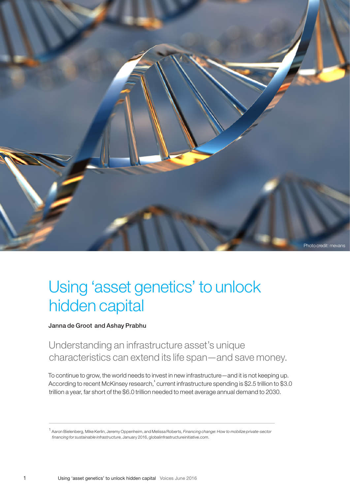

## Using 'asset genetics' to unlock hidden capital

Janna de Groot and Ashay Prabhu

Understanding an infrastructure asset's unique characteristics can extend its life span—and save money.

To continue to grow, the world needs to invest in new infrastructure—and it is not keeping up. According to recent McKinsey research, $^1$  current infrastructure spending is \$2.5 trillion to \$3.0 trillion a year, far short of the \$6.0 trillion needed to meet average annual demand to 2030.

<sup>1</sup> Aaron Bielenberg, Mike Kerlin, Jeremy Oppenheim, and Melissa Roberts, *Financing change: How to mobilize private-sector financing for sustainable infrastructure*, January 2016, [globalinfrastructureinitiative.com.](http://globalinfrastructureinitiative.com)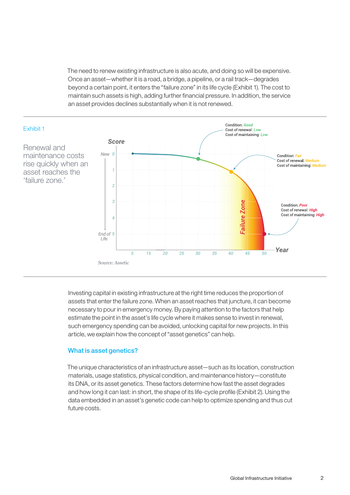The need to renew existing infrastructure is also acute, and doing so will be expensive. Once an asset—whether it is a road, a bridge, a pipeline, or a rail track—degrades beyond a certain point, it enters the "failure zone" in its life cycle (Exhibit 1). The cost to maintain such assets is high, adding further financial pressure. In addition, the service an asset provides declines substantially when it is not renewed.



Investing capital in existing infrastructure at the right time reduces the proportion of assets that enter the failure zone. When an asset reaches that juncture, it can become necessary to pour in emergency money. By paying attention to the factors that help estimate the point in the asset's life cycle where it makes sense to invest in renewal, such emergency spending can be avoided, unlocking capital for new projects. In this article, we explain how the concept of "asset genetics" can help.

## What is asset genetics?

The unique characteristics of an infrastructure asset—such as its location, construction materials, usage statistics, physical condition, and maintenance history—constitute its DNA, or its asset genetics. These factors determine how fast the asset degrades and how long it can last: in short, the shape of its life-cycle profile (Exhibit 2). Using the data embedded in an asset's genetic code can help to optimize spending and thus cut future costs.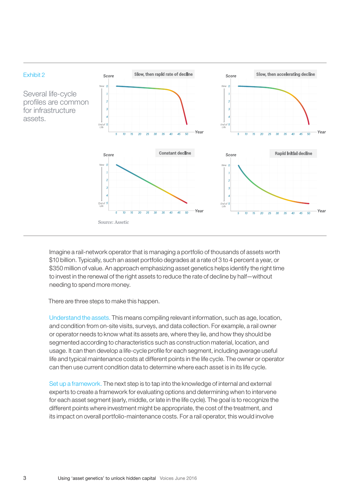

Imagine a rail-network operator that is managing a portfolio of thousands of assets worth \$10 billion. Typically, such an asset portfolio degrades at a rate of 3 to 4 percent a year, or \$350 million of value. An approach emphasizing asset genetics helps identify the right time to invest in the renewal of the right assets to reduce the rate of decline by half—without needing to spend more money.

There are three steps to make this happen.

Understand the assets. This means compiling relevant information, such as age, location, and condition from on-site visits, surveys, and data collection. For example, a rail owner or operator needs to know what its assets are, where they lie, and how they should be segmented according to characteristics such as construction material, location, and usage. It can then develop a life-cycle profile for each segment, including average useful life and typical maintenance costs at different points in the life cycle. The owner or operator can then use current condition data to determine where each asset is in its life cycle.

Set up a framework. The next step is to tap into the knowledge of internal and external experts to create a framework for evaluating options and determining when to intervene for each asset segment (early, middle, or late in the life cycle). The goal is to recognize the different points where investment might be appropriate, the cost of the treatment, and its impact on overall portfolio-maintenance costs. For a rail operator, this would involve